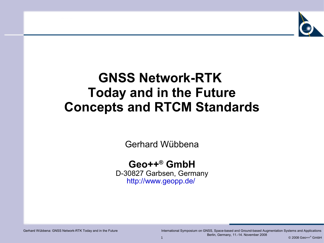

### **GNSS Network-RTK Today and in the Future Concepts and RTCM Standards**

Gerhard Wübbena

#### **Geo++ ® GmbH**

D-30827 Garbsen, Germany <http://www.geopp.de/>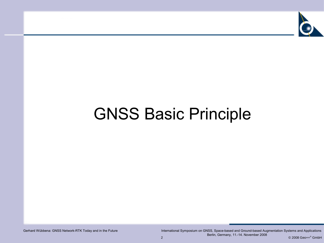

# GNSS Basic Principle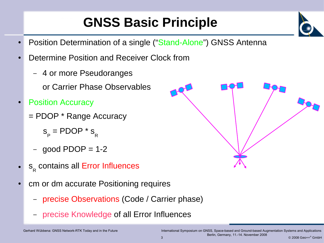# **GNSS Basic Principle**

- Position Determination of a single ("Stand-Alone") GNSS Antenna
- Determine Position and Receiver Clock from
	- 4 or more Pseudoranges

or Carrier Phase Observables

- **Position Accuracy** 
	- = PDOP \* Range Accuracy
		- $\mathsf{s}_{_{\mathsf{P}}}$  = PDOP \*  $\mathsf{s}_{_{\mathsf{R}}}$
		- $-$  good PDOP = 1-2
- $\bullet$   $s$ <sub>R</sub> contains all Error Influences
- cm or dm accurate Positioning requires
	- precise Observations (Code / Carrier phase)
	- precise Knowledge of all Error Influences





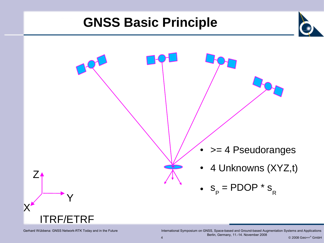### **GNSS Basic Principle**

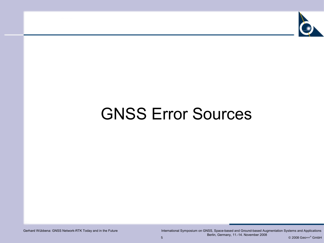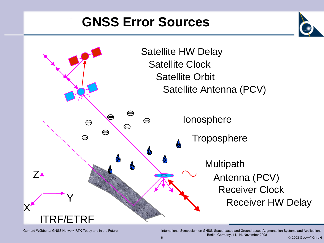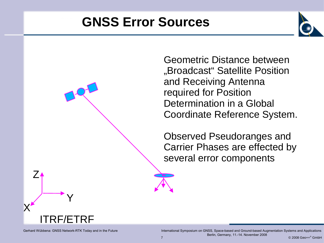

Geometric Distance between "Broadcast" Satellite Position and Receiving Antenna required for Position Determination in a Global Coordinate Reference System.

Observed Pseudoranges and Carrier Phases are effected by several error components



Y

X

Z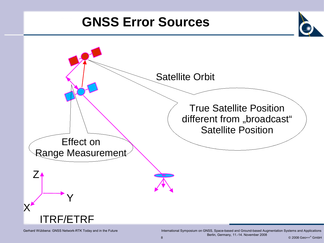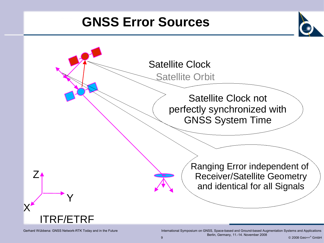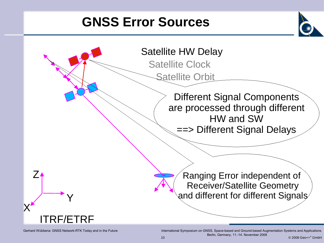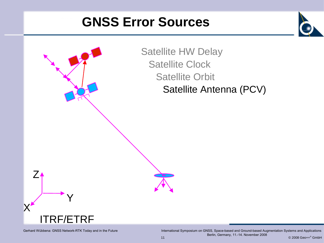

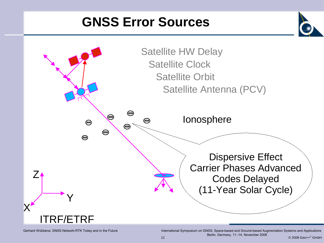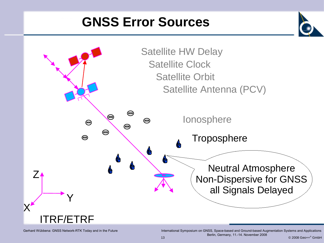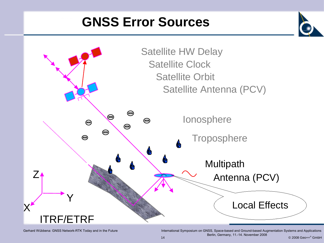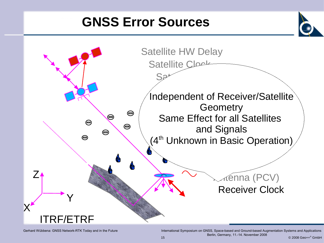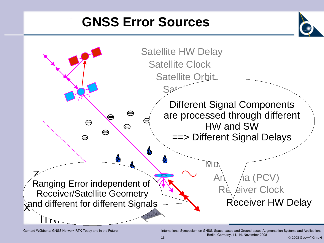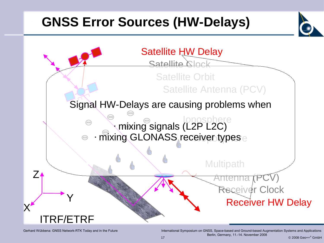# **GNSS Error Sources (HW-Delays)**

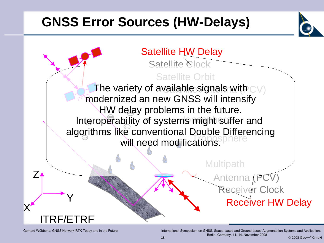# **GNSS Error Sources (HW-Delays)**

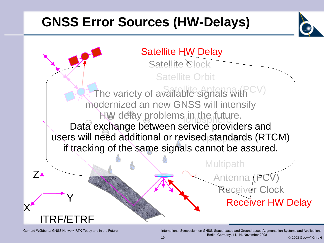# **GNSS Error Sources (HW-Delays)**

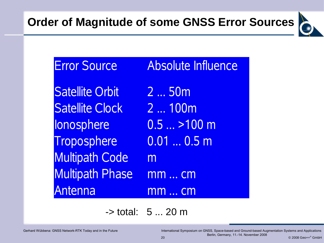

Error Source Absolute Influence Satellite Orbit 2 ... 50m Satellite Clock 2 ... 100m Ionosphere 0.5 ... >100 m Troposphere 0.01 ... 0.5 m Multipath Code m Multipath Phase mm ... cm Antenna mm ... cm

-> total: 5 ... 20 m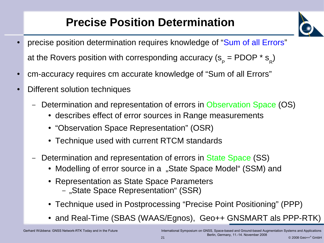### **Precise Position Determination**

- precise position determination requires knowledge of "Sum of all Errors" at the Rovers position with corresponding accuracy (s<sub>p</sub> = PDOP \* s<sub>R</sub>)
- cm-accuracy requires cm accurate knowledge of "Sum of all Errors"
- Different solution techniques
	- Determination and representation of errors in Observation Space (OS)
		- describes effect of error sources in Range measurements
		- "Observation Space Representation" (OSR)
		- Technique used with current RTCM standards
	- Determination and representation of errors in State Space (SS)
		- Modelling of error source in a "State Space Model" (SSM) and
		- Representation as State Space Parameters
			- "State Space Representation" (SSR)
		- Technique used in Postprocessing "Precise Point Positioning" (PPP)
		- and Real-Time (SBAS (WAAS/Egnos), Geo++ GNSMART als PPP-RTK)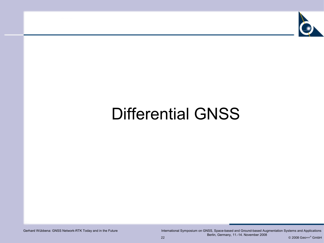

# Differential GNSS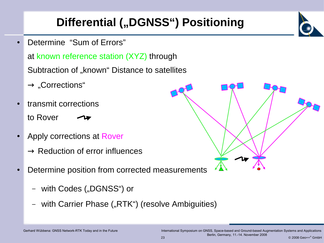### **Differential (,,DGNSS") Positioning**

- Determine "Sum of Errors" at known reference station (XYZ) through Subtraction of "known" Distance to satellites
	- $\rightarrow$  "Corrections"
- transmit corrections to Rover
- Apply corrections at Rover
	- $\rightarrow$  Reduction of error influences
- Determine position from corrected measurements
	- with Codes ("DGNSS") or
	- with Carrier Phase ("RTK") (resolve Ambiguities)



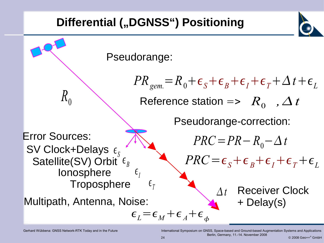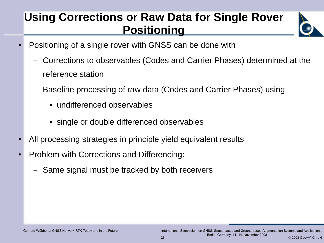#### **Using Corrections or Raw Data for Single Rover Positioning**



- Positioning of a single rover with GNSS can be done with
	- Corrections to observables (Codes and Carrier Phases) determined at the reference station
	- Baseline processing of raw data (Codes and Carrier Phases) using
		- undifferenced observables
		- single or double differenced observables
- All processing strategies in principle yield equivalent results
- Problem with Corrections and Differencing:
	- Same signal must be tracked by both receivers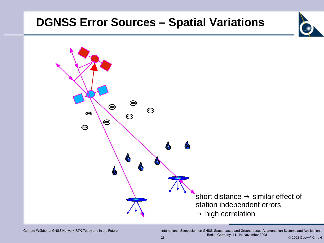#### **DGNSS Error Sources – Spatial Variations**

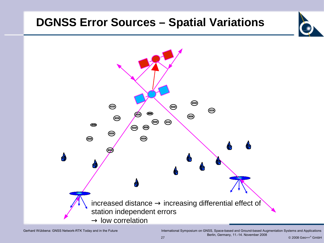#### **DGNSS Error Sources – Spatial Variations**



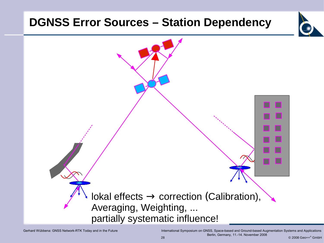#### **DGNSS Error Sources – Station Dependency**

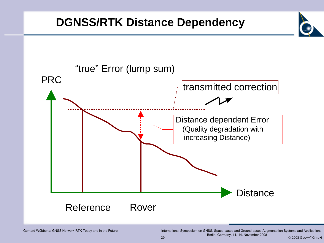#### **DGNSS/RTK Distance Dependency**

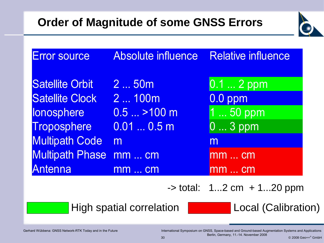

| <b>Error source</b>    | <b>Absolute influence</b> | <b>Relative influence</b>       |
|------------------------|---------------------------|---------------------------------|
| <b>Satellite Orbit</b> | 2  50m                    | 0.1  2 ppm                      |
| <b>Satellite Clock</b> | 2  100m                   | 0.0 ppm                         |
| lonosphere             | $0.5$ >100 m              | 1  50 ppm                       |
| Troposphere            | $0.010.5$ m               | $03$ ppm                        |
| <b>Multipath Code</b>  | m                         | m                               |
| <b>Multipath Phase</b> | mm  cm                    | mm  cm                          |
| <b>Antenna</b>         | $mm$ cm                   | $\mathsf{mm} \dots \mathsf{cm}$ |

 $\rightarrow$  total: 1...2 cm  $+$  1...20 ppm

#### High spatial correlation

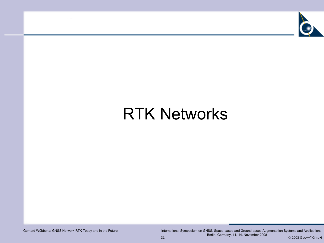

# RTK Networks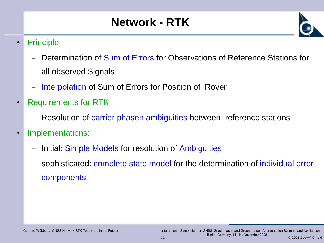### **Network - RTK**



- Principle:
	- Determination of Sum of Errors for Observations of Reference Stations for all observed Signals
	- Interpolation of Sum of Errors for Position of Rover
- **Requirements for RTK:** 
	- Resolution of carrier phasen ambiguities between reference stations
- Implementations:
	- Initial: Simple Models for resolution of Ambiguities
	- sophisticated: complete state model for the determination of individual error components.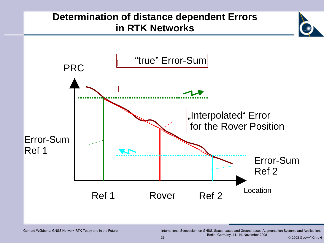#### **Determination of distance dependent Errors in RTK Networks**

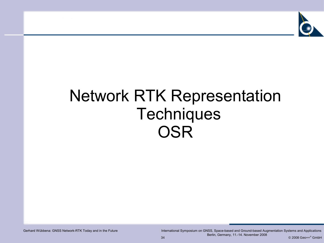

# Network RTK Representation **Techniques OSR**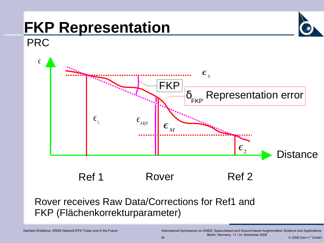# **FKP Representation**



#### PRC



Ref 1 Rover Ref 2

#### Rover receives Raw Data/Corrections for Ref1 and FKP (Flächenkorrekturparameter)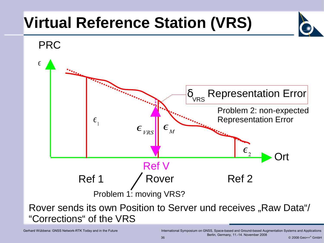# **Virtual Reference Station (VRS)**

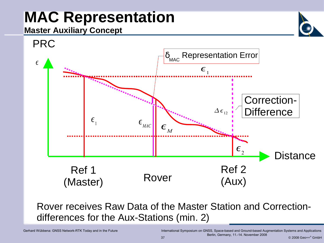# **MAC Representation**

#### **Master Auxiliary Concept**



Rover receives Raw Data of the Master Station and Correctiondifferences for the Aux-Stations (min. 2)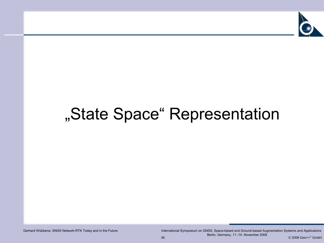

# "State Space" Representation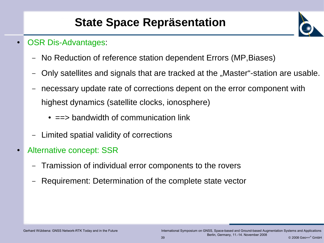### **State Space Repräsentation**



- **OSR Dis-Advantages:** 
	- No Reduction of reference station dependent Errors (MP,Biases)
	- Only satellites and signals that are tracked at the "Master"-station are usable.
	- necessary update rate of corrections depent on the error component with highest dynamics (satellite clocks, ionosphere)
		- $\bullet$  ==> bandwidth of communication link
	- Limited spatial validity of corrections
- Alternative concept: SSR
	- Tramission of individual error components to the rovers
	- Requirement: Determination of the complete state vector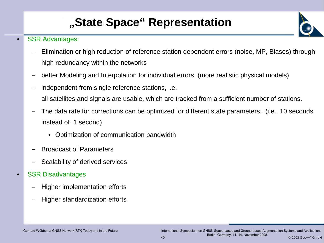### **"State Space" Representation**

#### **SSR Advantages:**

- Elimination or high reduction of reference station dependent errors (noise, MP, Biases) through high redundancy within the networks
- better Modeling and Interpolation for individual errors (more realistic physical models)
- independent from single reference stations, *i.e.* all satellites and signals are usable, which are tracked from a sufficient number of stations.
- The data rate for corrections can be optimized for different state parameters. (i.e.. 10 seconds instead of 1 second)
	- Optimization of communication bandwidth
- Broadcast of Parameters
- Scalability of derived services
- **SSR Disadvantages** 
	- Higher implementation efforts
	- Higher standardization efforts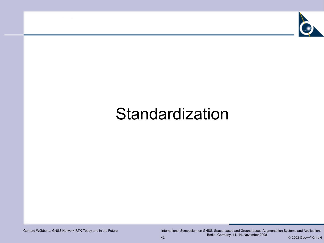

# Standardization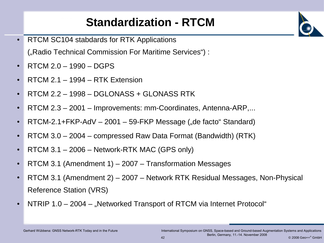### **Standardization - RTCM**

- RTCM SC104 stabdards for RTK Applications ("Radio Technical Commission For Maritime Services") :
- $RTCM 2.0 1990 DGPS$
- RTCM 2.1  $-$  1994  $-$  RTK Extension
- $RTCM 2.2 1998 DGLONASS + GLONASS RTK$
- RTCM 2.3 2001 Improvements: mm-Coordinates, Antenna-ARP,...
- RTCM-2.1+FKP-AdV  $-$  2001  $-$  59-FKP Message ("de facto" Standard)
- RTCM  $3.0 2004$  compressed Raw Data Format (Bandwidth) (RTK)
- RTCM  $3.1 2006 -$  Network-RTK MAC (GPS only)
- RTCM 3.1 (Amendment 1)  $-$  2007  $-$  Transformation Messages
- RTCM 3.1 (Amendment 2) 2007 Network RTK Residual Messages, Non-Physical Reference Station (VRS)
- NTRIP 1.0 2004 "Networked Transport of RTCM via Internet Protocol"

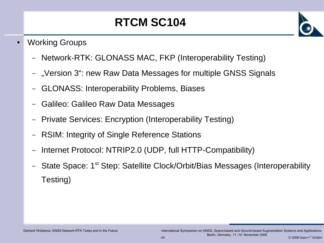### **RTCM SC104**

- **Working Groups** 
	- Network-RTK: GLONASS MAC, FKP (Interoperability Testing)
	- "Version 3": new Raw Data Messages for multiple GNSS Signals
	- GLONASS: Interoperability Problems, Biases
	- Galileo: Galileo Raw Data Messages
	- Private Services: Encryption (Interoperability Testing)
	- RSIM: Integrity of Single Reference Stations
	- Internet Protocol: NTRIP2.0 (UDP, full HTTP-Compatibility)
	- State Space: 1<sup>st</sup> Step: Satellite Clock/Orbit/Bias Messages (Interoperability Testing)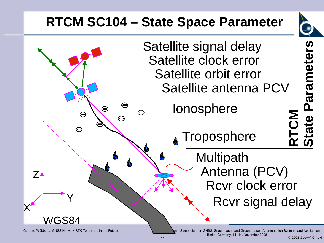# **RTCM SC104 – State Space Parameter**





Gerhard Wübbena: GNSS Network-RTK Today and in the Future International Symposium on GNSS, Space-based and Ground-based Augmentation Systems and Applications

44 © 2008 Geo++ ® GmbH Berlin, Germany, 11.-14. November 2008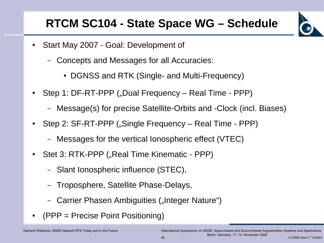#### **RTCM SC104 - State Space WG – Schedule**



- Start May 2007 Goal: Development of
	- Concepts and Messages for all Accuracies:
		- DGNSS and RTK (Single- and Multi-Frequency)
- Step 1: DF-RT-PPP ("Dual Frequency Real Time PPP)
	- Message(s) for precise Satellite-Orbits and -Clock (incl. Biases)
- Step 2: SF-RT-PPP ("Single Frequency Real Time PPP)
	- Messages for the vertical Ionospheric effect (VTEC)
- Stet 3: RTK-PPP ("Real Time Kinematic PPP)
	- Slant Ionospheric influence (STEC),
	- Troposphere, Satellite Phase-Delays,
	- Carrier Phasen Ambiguities ("Integer Nature")
- $(PPP = Precise Point Positioning)$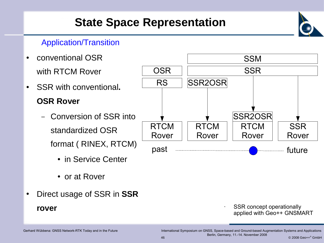### **State Space Representation**

#### Application/Transition

- conventional OSR with RTCM Rover ● SSR with conventional**. OSR Rover** – Conversion of SSR into standardized OSR format ( RINEX, RTCM) • in Service Center RTCM Rover RTCM Rover RTCM Rover **SSR** Rover SSR2OSR **SSR** RS SSR2OSR **SSM OSR** past <del>manual company of the set of</del> tuture
	- or at Rover
- Direct usage of SSR in **SSR rover**

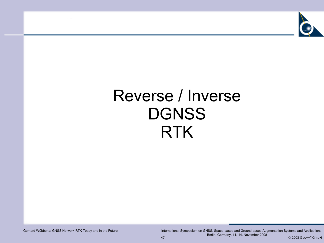

# Reverse / Inverse DGNSS RTK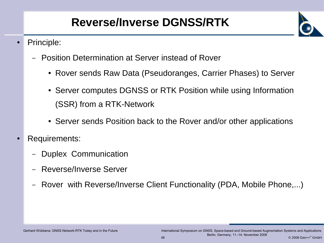### **Reverse/Inverse DGNSS/RTK**

- Principle:
	- Position Determination at Server instead of Rover
		- Rover sends Raw Data (Pseudoranges, Carrier Phases) to Server
		- Server computes DGNSS or RTK Position while using Information (SSR) from a RTK-Network
		- Server sends Position back to the Rover and/or other applications
- **Requirements:** 
	- Duplex Communication
	- Reverse/Inverse Server
	- Rover with Reverse/Inverse Client Functionality (PDA, Mobile Phone,...)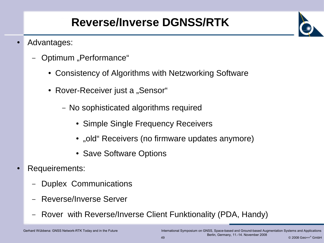### **Reverse/Inverse DGNSS/RTK**

- Advantages:
	- Optimum "Performance"
		- Consistency of Algorithms with Netzworking Software
		- Rover-Receiver just a "Sensor"
			- No sophisticated algorithms required
				- Simple Single Frequency Receivers
				- "old" Receivers (no firmware updates anymore)
				- Save Software Options
- Requeirements:
	- Duplex Communications
	- Reverse/Inverse Server
	- Rover with Reverse/Inverse Client Funktionality (PDA, Handy)

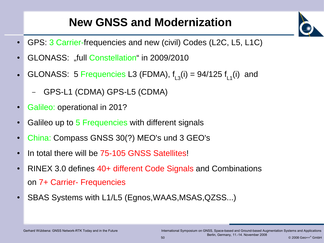#### **New GNSS and Modernization**

- GPS: 3 Carrier-frequencies and new (civil) Codes (L2C, L5, L1C)
- GLONASS: "full Constellation" in 2009/2010
- GLONASS: 5 Frequencies L3 (FDMA),  $f_{L3}(i) = 94/125 f_{L1}(i)$  and
	- GPS-L1 (CDMA) GPS-L5 (CDMA)
- Galileo: operational in 201?
- Galileo up to 5 Frequencies with different signals
- China: Compass GNSS 30(?) MEO's und 3 GEO's
- In total there will be 75-105 GNSS Satellites!
- RINEX 3.0 defines 40+ different Code Signals and Combinations on 7+ Carrier- Frequencies
- SBAS Systems with L1/L5 (Egnos, WAAS, MSAS, QZSS...)